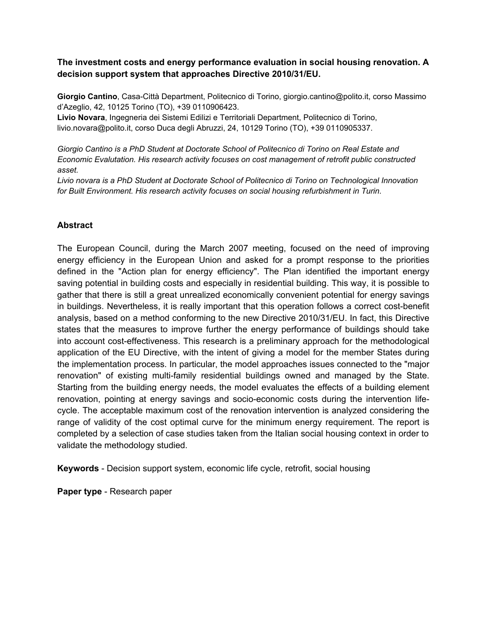# **The investment costs and energy performance evaluation in social housing renovation. A decision support system that approaches Directive 2010/31/EU.**

**Giorgio Cantino**, Casa-Città Department, Politecnico di Torino, giorgio.cantino@polito.it, corso Massimo d'Azeglio, 42, 10125 Torino (TO), +39 0110906423.

**Livio Novara**, Ingegneria dei Sistemi Edilizi e Territoriali Department, Politecnico di Torino, livio.novara@polito.it, corso Duca degli Abruzzi, 24, 10129 Torino (TO), +39 0110905337.

*Giorgio Cantino is a PhD Student at Doctorate School of Politecnico di Torino on Real Estate and Economic Evalutation. His research activity focuses on cost management of retrofit public constructed asset.*

*Livio novara is a PhD Student at Doctorate School of Politecnico di Torino on Technological Innovation for Built Environment. His research activity focuses on social housing refurbishment in Turin.*

# **Abstract**

The European Council, during the March 2007 meeting, focused on the need of improving energy efficiency in the European Union and asked for a prompt response to the priorities defined in the "Action plan for energy efficiency". The Plan identified the important energy saving potential in building costs and especially in residential building. This way, it is possible to gather that there is still a great unrealized economically convenient potential for energy savings in buildings. Nevertheless, it is really important that this operation follows a correct cost-benefit analysis, based on a method conforming to the new Directive 2010/31/EU. In fact, this Directive states that the measures to improve further the energy performance of buildings should take into account cost-effectiveness. This research is a preliminary approach for the methodological application of the EU Directive, with the intent of giving a model for the member States during the implementation process. In particular, the model approaches issues connected to the "major renovation" of existing multi-family residential buildings owned and managed by the State. Starting from the building energy needs, the model evaluates the effects of a building element renovation, pointing at energy savings and socio-economic costs during the intervention lifecycle. The acceptable maximum cost of the renovation intervention is analyzed considering the range of validity of the cost optimal curve for the minimum energy requirement. The report is completed by a selection of case studies taken from the Italian social housing context in order to validate the methodology studied.

**Keywords** - Decision support system, economic life cycle, retrofit, social housing

**Paper type** - Research paper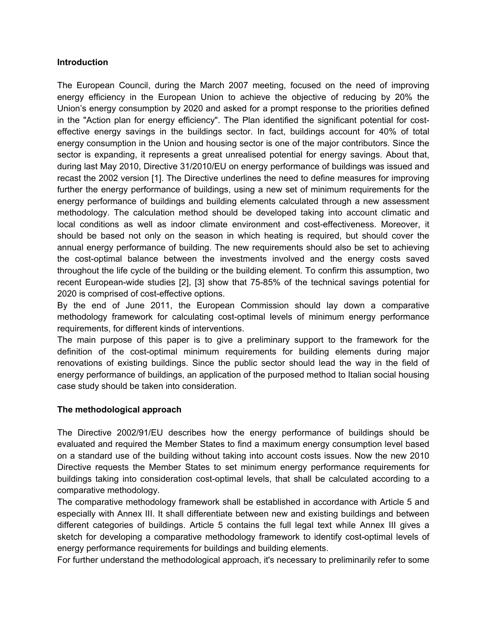## **Introduction**

The European Council, during the March 2007 meeting, focused on the need of improving energy efficiency in the European Union to achieve the objective of reducing by 20% the Union's energy consumption by 2020 and asked for a prompt response to the priorities defined in the "Action plan for energy efficiency". The Plan identified the significant potential for costeffective energy savings in the buildings sector. In fact, buildings account for 40% of total energy consumption in the Union and housing sector is one of the major contributors. Since the sector is expanding, it represents a great unrealised potential for energy savings. About that, during last May 2010, Directive 31/2010/EU on energy performance of buildings was issued and recast the 2002 version [1]. The Directive underlines the need to define measures for improving further the energy performance of buildings, using a new set of minimum requirements for the energy performance of buildings and building elements calculated through a new assessment methodology. The calculation method should be developed taking into account climatic and local conditions as well as indoor climate environment and cost-effectiveness. Moreover, it should be based not only on the season in which heating is required, but should cover the annual energy performance of building. The new requirements should also be set to achieving the cost-optimal balance between the investments involved and the energy costs saved throughout the life cycle of the building or the building element. To confirm this assumption, two recent European-wide studies [2], [3] show that 75-85% of the technical savings potential for 2020 is comprised of cost-effective options.

By the end of June 2011, the European Commission should lay down a comparative methodology framework for calculating cost-optimal levels of minimum energy performance requirements, for different kinds of interventions.

The main purpose of this paper is to give a preliminary support to the framework for the definition of the cost-optimal minimum requirements for building elements during major renovations of existing buildings. Since the public sector should lead the way in the field of energy performance of buildings, an application of the purposed method to Italian social housing case study should be taken into consideration.

# **The methodological approach**

The Directive 2002/91/EU describes how the energy performance of buildings should be evaluated and required the Member States to find a maximum energy consumption level based on a standard use of the building without taking into account costs issues. Now the new 2010 Directive requests the Member States to set minimum energy performance requirements for buildings taking into consideration cost-optimal levels, that shall be calculated according to a comparative methodology.

The comparative methodology framework shall be established in accordance with Article 5 and especially with Annex III. It shall differentiate between new and existing buildings and between different categories of buildings. Article 5 contains the full legal text while Annex III gives a sketch for developing a comparative methodology framework to identify cost-optimal levels of energy performance requirements for buildings and building elements.

For further understand the methodological approach, it's necessary to preliminarily refer to some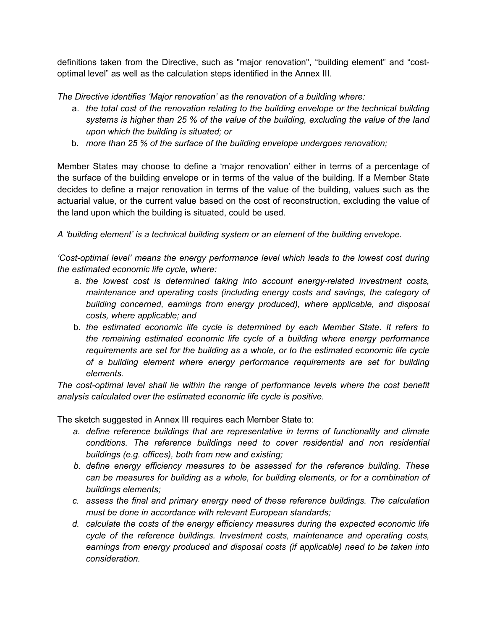definitions taken from the Directive, such as "major renovation", "building element" and "costoptimal level" as well as the calculation steps identified in the Annex III.

*The Directive identifies 'Major renovation' as the renovation of a building where:*

- a. *the total cost of the renovation relating to the building envelope or the technical building systems is higher than 25 % of the value of the building, excluding the value of the land upon which the building is situated; or*
- b. *more than 25 % of the surface of the building envelope undergoes renovation;*

Member States may choose to define a 'major renovation' either in terms of a percentage of the surface of the building envelope or in terms of the value of the building. If a Member State decides to define a major renovation in terms of the value of the building, values such as the actuarial value, or the current value based on the cost of reconstruction, excluding the value of the land upon which the building is situated, could be used.

*A 'building element' is a technical building system or an element of the building envelope.*

*'Cost-optimal level' means the energy performance level which leads to the lowest cost during the estimated economic life cycle, where:*

- a. *the lowest cost is determined taking into account energy-related investment costs, maintenance and operating costs (including energy costs and savings, the category of building concerned, earnings from energy produced), where applicable, and disposal costs, where applicable; and*
- b. *the estimated economic life cycle is determined by each Member State. It refers to the remaining estimated economic life cycle of a building where energy performance requirements are set for the building as a whole, or to the estimated economic life cycle of a building element where energy performance requirements are set for building elements.*

*The cost-optimal level shall lie within the range of performance levels where the cost benefit analysis calculated over the estimated economic life cycle is positive.*

The sketch suggested in Annex III requires each Member State to:

- *a. define reference buildings that are representative in terms of functionality and climate conditions. The reference buildings need to cover residential and non residential buildings (e.g. offices), both from new and existing;*
- *b. define energy efficiency measures to be assessed for the reference building. These can be measures for building as a whole, for building elements, or for a combination of buildings elements;*
- *c. assess the final and primary energy need of these reference buildings. The calculation must be done in accordance with relevant European standards;*
- *d. calculate the costs of the energy efficiency measures during the expected economic life cycle of the reference buildings. Investment costs, maintenance and operating costs, earnings from energy produced and disposal costs (if applicable) need to be taken into consideration.*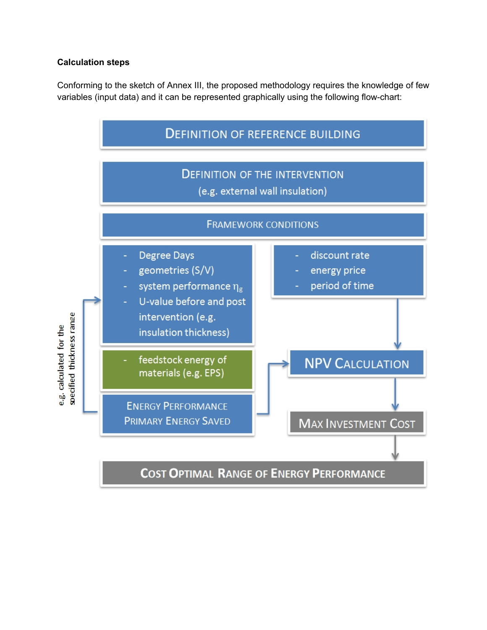# **Calculation steps**

Conforming to the sketch of Annex III, the proposed methodology requires the knowledge of few variables (input data) and it can be represented graphically using the following flow-chart:

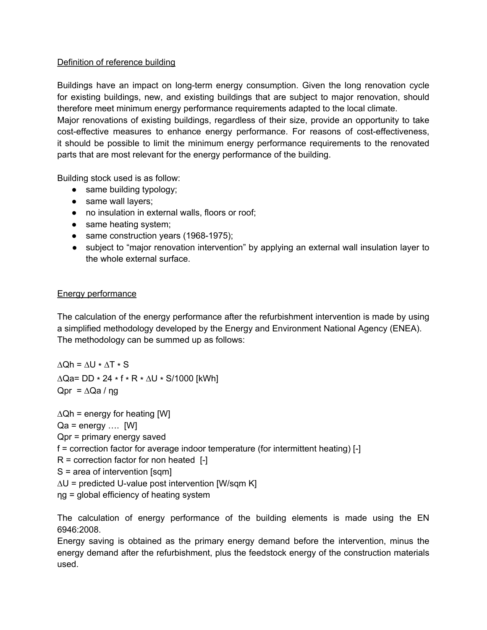## Definition of reference building

Buildings have an impact on long-term energy consumption. Given the long renovation cycle for existing buildings, new, and existing buildings that are subject to major renovation, should therefore meet minimum energy performance requirements adapted to the local climate. Major renovations of existing buildings, regardless of their size, provide an opportunity to take cost-effective measures to enhance energy performance. For reasons of cost-effectiveness, it should be possible to limit the minimum energy performance requirements to the renovated parts that are most relevant for the energy performance of the building.

Building stock used is as follow:

- same building typology;
- same wall layers;
- no insulation in external walls, floors or roof;
- same heating system;
- same construction years (1968-1975);
- subject to "major renovation intervention" by applying an external wall insulation layer to the whole external surface.

# Energy performance

The calculation of the energy performance after the refurbishment intervention is made by using a simplified methodology developed by the Energy and Environment National Agency (ENEA). The methodology can be summed up as follows:

 $\Delta$ Qh =  $\Delta$ U \*  $\Delta$ T \* S ∆Qa= DD ∗ 24 ∗ f ∗ R ∗ ∆U ∗ S/1000 [kWh] Qpr =  $\Delta$ Qa / ng

 $\Delta$ Qh = energy for heating [W]

 $Qa = energy \dots$  [W]

Qpr = primary energy saved

f = correction factor for average indoor temperature (for intermittent heating) [-]

 $R =$  correction factor for non heated  $[-]$ 

S = area of intervention [sqm]

∆U = predicted U-value post intervention [W/sqm K]

ηg = global efficiency of heating system

The calculation of energy performance of the building elements is made using the EN 6946:2008.

Energy saving is obtained as the primary energy demand before the intervention, minus the energy demand after the refurbishment, plus the feedstock energy of the construction materials used.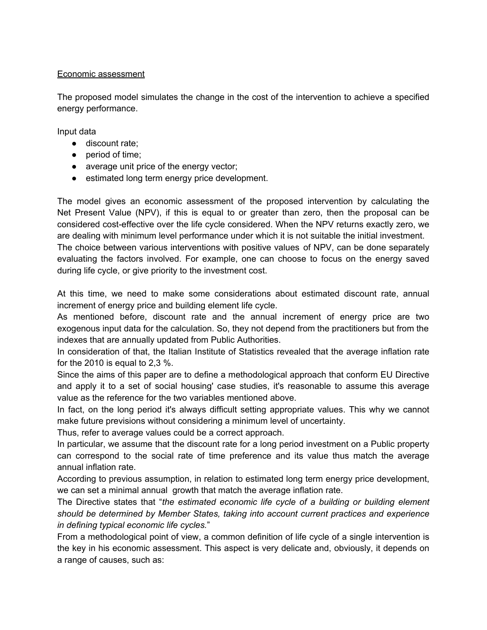#### Economic assessment

The proposed model simulates the change in the cost of the intervention to achieve a specified energy performance.

Input data

- discount rate;
- period of time;
- average unit price of the energy vector;
- estimated long term energy price development.

The model gives an economic assessment of the proposed intervention by calculating the Net Present Value (NPV), if this is equal to or greater than zero, then the proposal can be considered cost-effective over the life cycle considered. When the NPV returns exactly zero, we are dealing with minimum level performance under which it is not suitable the initial investment. The choice between various interventions with positive values of NPV, can be done separately evaluating the factors involved. For example, one can choose to focus on the energy saved during life cycle, or give priority to the investment cost.

At this time, we need to make some considerations about estimated discount rate, annual increment of energy price and building element life cycle.

As mentioned before, discount rate and the annual increment of energy price are two exogenous input data for the calculation. So, they not depend from the practitioners but from the indexes that are annually updated from Public Authorities.

In consideration of that, the Italian Institute of Statistics revealed that the average inflation rate for the 2010 is equal to 2,3 %.

Since the aims of this paper are to define a methodological approach that conform EU Directive and apply it to a set of social housing' case studies, it's reasonable to assume this average value as the reference for the two variables mentioned above.

In fact, on the long period it's always difficult setting appropriate values. This why we cannot make future previsions without considering a minimum level of uncertainty.

Thus, refer to average values could be a correct approach.

In particular, we assume that the discount rate for a long period investment on a Public property can correspond to the social rate of time preference and its value thus match the average annual inflation rate.

According to previous assumption, in relation to estimated long term energy price development, we can set a minimal annual growth that match the average inflation rate.

The Directive states that "*the estimated economic life cycle of a building or building element should be determined by Member States, taking into account current practices and experience in defining typical economic life cycles.*"

From a methodological point of view, a common definition of life cycle of a single intervention is the key in his economic assessment. This aspect is very delicate and, obviously, it depends on a range of causes, such as: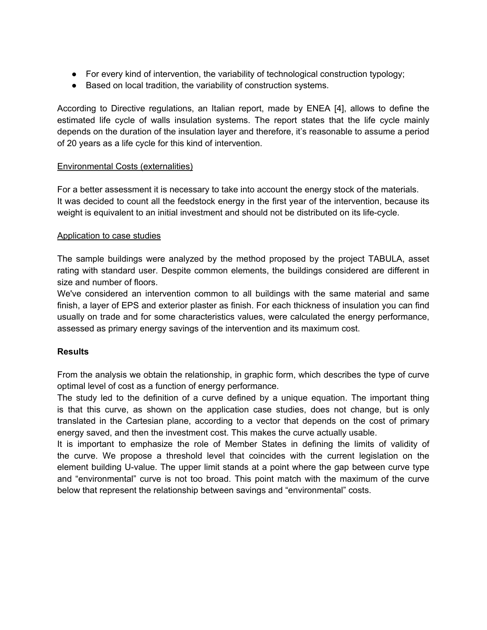- For every kind of intervention, the variability of technological construction typology;
- Based on local tradition, the variability of construction systems.

According to Directive regulations, an Italian report, made by ENEA [4], allows to define the estimated life cycle of walls insulation systems. The report states that the life cycle mainly depends on the duration of the insulation layer and therefore, it's reasonable to assume a period of 20 years as a life cycle for this kind of intervention.

### Environmental Costs (externalities)

For a better assessment it is necessary to take into account the energy stock of the materials. It was decided to count all the feedstock energy in the first year of the intervention, because its weight is equivalent to an initial investment and should not be distributed on its life-cycle.

### Application to case studies

The sample buildings were analyzed by the method proposed by the project TABULA, asset rating with standard user. Despite common elements, the buildings considered are different in size and number of floors.

We've considered an intervention common to all buildings with the same material and same finish, a layer of EPS and exterior plaster as finish. For each thickness of insulation you can find usually on trade and for some characteristics values, were calculated the energy performance, assessed as primary energy savings of the intervention and its maximum cost.

### **Results**

From the analysis we obtain the relationship, in graphic form, which describes the type of curve optimal level of cost as a function of energy performance.

The study led to the definition of a curve defined by a unique equation. The important thing is that this curve, as shown on the application case studies, does not change, but is only translated in the Cartesian plane, according to a vector that depends on the cost of primary energy saved, and then the investment cost. This makes the curve actually usable.

It is important to emphasize the role of Member States in defining the limits of validity of the curve. We propose a threshold level that coincides with the current legislation on the element building U-value. The upper limit stands at a point where the gap between curve type and "environmental" curve is not too broad. This point match with the maximum of the curve below that represent the relationship between savings and "environmental" costs.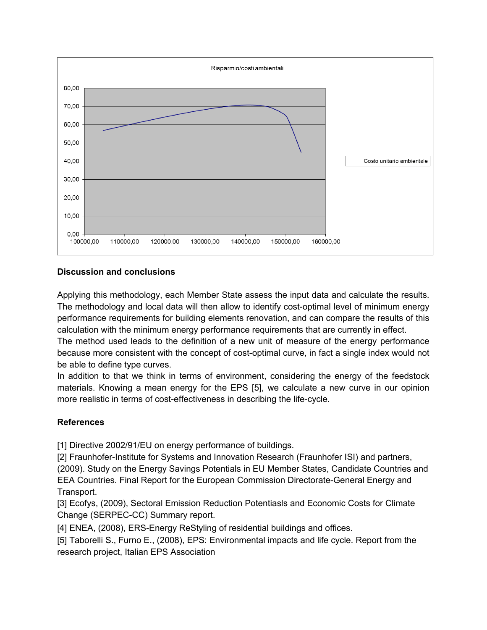

# **Discussion and conclusions**

Applying this methodology, each Member State assess the input data and calculate the results. The methodology and local data will then allow to identify cost-optimal level of minimum energy performance requirements for building elements renovation, and can compare the results of this calculation with the minimum energy performance requirements that are currently in effect.

The method used leads to the definition of a new unit of measure of the energy performance because more consistent with the concept of cost-optimal curve, in fact a single index would not be able to define type curves.

In addition to that we think in terms of environment, considering the energy of the feedstock materials. Knowing a mean energy for the EPS [5], we calculate a new curve in our opinion more realistic in terms of cost-effectiveness in describing the life-cycle.

### **References**

[1] Directive 2002/91/EU on energy performance of buildings.

[2] Fraunhofer-Institute for Systems and Innovation Research (Fraunhofer ISI) and partners, (2009). Study on the Energy Savings Potentials in EU Member States, Candidate Countries and EEA Countries. Final Report for the European Commission Directorate-General Energy and Transport.

[3] Ecofys, (2009), Sectoral Emission Reduction Potentiasls and Economic Costs for Climate Change (SERPEC-CC) Summary report.

[4] ENEA, (2008), ERS-Energy ReStyling of residential buildings and offices.

[5] Taborelli S., Furno E., (2008), EPS: Environmental impacts and life cycle. Report from the research project, Italian EPS Association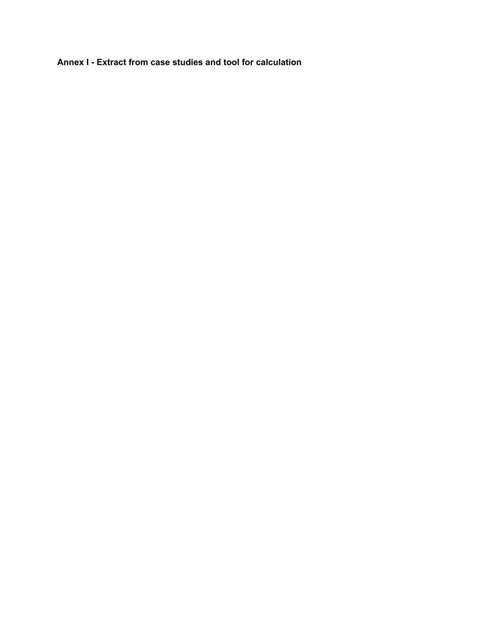**Annex I - Extract from case studies and tool for calculation**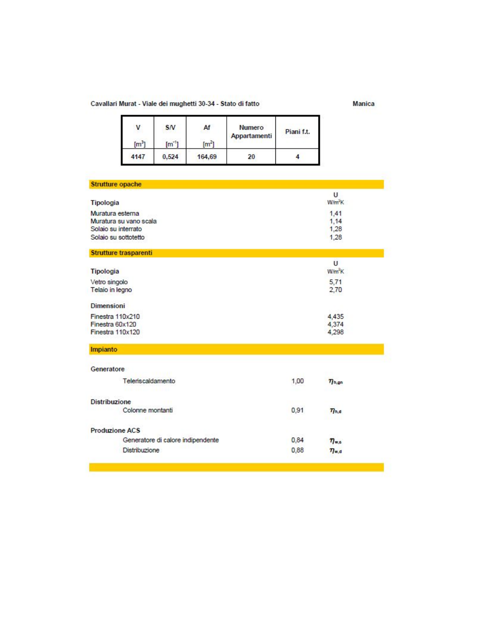#### Cavallari Murat - Viale dei mughetti 30-34 - Stato di fatto

е

Manica

| v<br>[m <sup>3</sup> ] | SN<br>$[m^{\prime}]$ | Af<br>(m <sup>2</sup> ) | Numero<br>Appartamenti | Piani f.t. |
|------------------------|----------------------|-------------------------|------------------------|------------|
| 4147                   | 0.524                | 164,69                  | 20                     |            |

| <b>Strutture opache</b>                    |      |                         |
|--------------------------------------------|------|-------------------------|
| Tipologia                                  |      | U<br>W/m <sup>2</sup> K |
|                                            |      |                         |
| Muratura esterna<br>Muratura su vano scala |      | 1,41<br>1,14            |
| Solaio su interrato                        |      | 1,28                    |
| Solaio su sottotetto                       |      | 1.28                    |
| Strutture trasparenti                      |      |                         |
|                                            |      | U                       |
| Tipologia                                  |      | $W/m^2K$                |
| Vetro singolo                              |      | 5,71                    |
| Telaio in legno                            |      | 2,70                    |
| <b>Dimensioni</b>                          |      |                         |
| Finestra 110x210                           |      | 4,435                   |
| Finestra 60x120                            |      | 4,374                   |
| Finestra 110x120                           |      | 4,298                   |
| Impianto                                   |      |                         |
| Generatore                                 |      |                         |
| Teleriscaldamento                          | 1,00 | $\eta_{h,an}$           |
| <b>Distribuzione</b>                       |      |                         |
| Colonne montanti                           | 0,91 | $\eta_{h,d}$            |
| <b>Produzione ACS</b>                      |      |                         |
| Generatore di calore indipendente          | 0,84 | $\eta_{ws}$             |
| <b>Distribuzione</b>                       | 0,88 | $\eta_{wd}$             |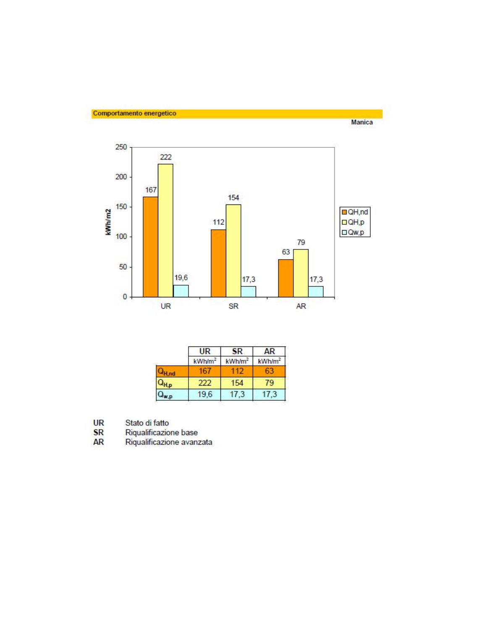



|           | UR                 | <b>SR</b>          | AR                 |
|-----------|--------------------|--------------------|--------------------|
|           | kWh/m <sup>2</sup> | kWh/m <sup>2</sup> | kWh/m <sup>2</sup> |
|           | 16.                |                    |                    |
| $Q_{H,p}$ | 222                | 154                | 79                 |
|           | 19,6               | 17,3               | 17.3               |

- **UR**
- **SR**
- Stato di fatto<br>Riqualificazione base<br>Riqualificazione avanzata **AR**